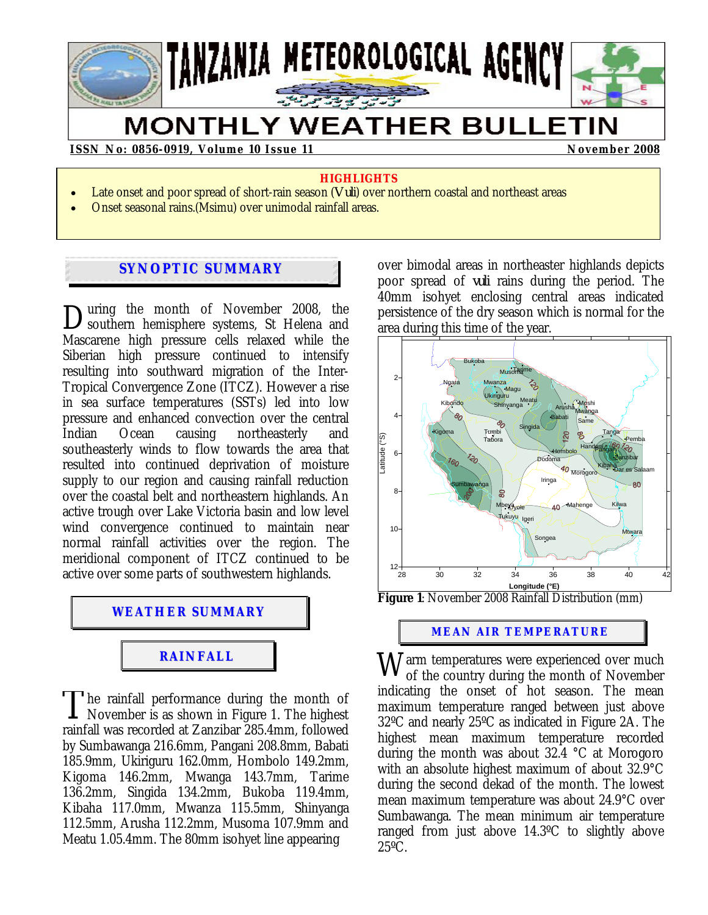# TANZANIA METEOROLOGICAL AGENCY

## **MONTHLY WEATHER BULLETIN**

#### **ISSN No: 0856-0919, Volume 10 Issue 11 November 2008 November 2008**

#### **HIGHLIGHTS**

- Late onset and poor spread of short-rain season (*Vuli*) over northern coastal and northeast areas
- Onset seasonal rains.(Msimu) over unimodal rainfall areas.

### **SYNOPTIC SUMMARY**

uring the month of November 2008, the During the month of November 2008, the<br>Southern hemisphere systems, St Helena and Mascarene high pressure cells relaxed while the Siberian high pressure continued to intensify resulting into southward migration of the Inter-Tropical Convergence Zone (ITCZ). However a rise in sea surface temperatures (SSTs) led into low pressure and enhanced convection over the central Indian Ocean causing northeasterly and southeasterly winds to flow towards the area that resulted into continued deprivation of moisture supply to our region and causing rainfall reduction over the coastal belt and northeastern highlands. An active trough over Lake Victoria basin and low level wind convergence continued to maintain near normal rainfall activities over the region. The meridional component of ITCZ continued to be active over some parts of southwestern highlands.



The rainfall performance during the month of The rainfall performance during the month of<br>November is as shown in Figure 1. The highest<br> $\frac{1}{2}$ rainfall was recorded at Zanzibar 285.4mm, followed by Sumbawanga 216.6mm, Pangani 208.8mm, Babati 185.9mm, Ukiriguru 162.0mm, Hombolo 149.2mm, Kigoma 146.2mm, Mwanga 143.7mm, Tarime 136.2mm, Singida 134.2mm, Bukoba 119.4mm, Kibaha 117.0mm, Mwanza 115.5mm, Shinyanga 112.5mm, Arusha 112.2mm, Musoma 107.9mm and Meatu 1.05.4mm. The 80mm isohyet line appearing

over bimodal areas in northeaster highlands depicts poor spread of *vuli* rains during the period. The 40mm isohyet enclosing central areas indicated persistence of the dry season which is normal for the area during this time of the year.



**Figure 1**: November 2008 Rainfall Distribution (mm)

**MEAN AIR TEMPERATURE**

 $\rm W$ arm temperatures were experienced over much of November of the country during the month of November indicating the onset of hot season. The mean maximum temperature ranged between just above 32ºC and nearly 25ºC as indicated in Figure 2A. The highest mean maximum temperature recorded during the month was about 32.4 °C at Morogoro with an absolute highest maximum of about 32.9°C during the second dekad of the month. The lowest mean maximum temperature was about 24.9°C over Sumbawanga. The mean minimum air temperature ranged from just above 14.3ºC to slightly above  $25^{\circ}$ C.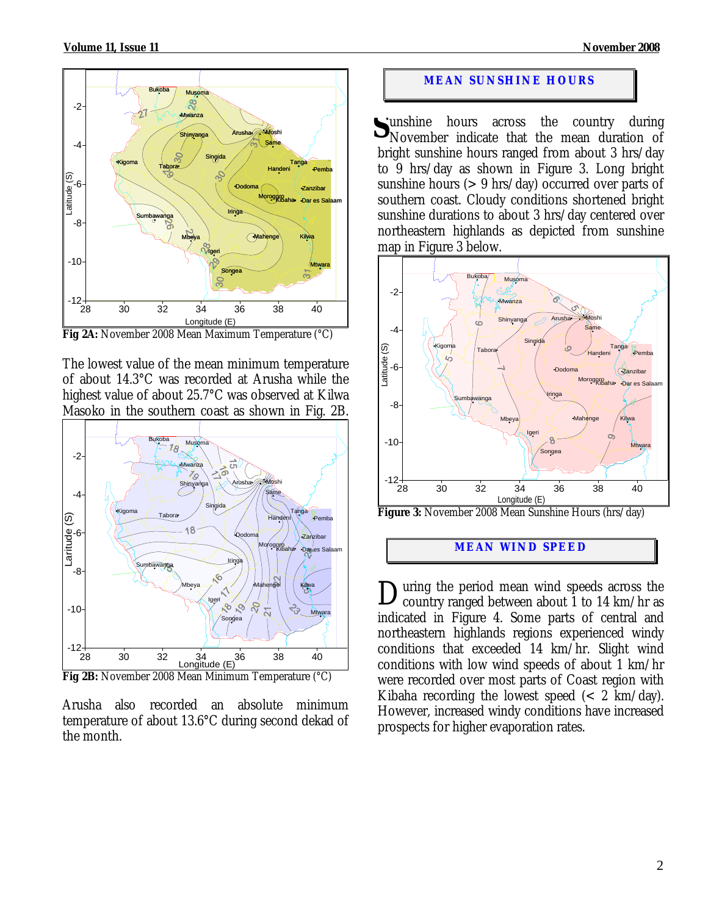

**Fig 2A:** November 2008 Mean Maximum Temperature (°C)

The lowest value of the mean minimum temperature of about 14.3°C was recorded at Arusha while the highest value of about 25.7°C was observed at Kilwa Masoko in the southern coast as shown in Fig. 2B.



Arusha also recorded an absolute minimum temperature of about 13.6°C during second dekad of the month.

#### **MEAN SUNSHINE HOURS**

unshine hours across the country during Sunshine hours across the country during<br>November indicate that the mean duration of bright sunshine hours ranged from about 3 hrs/day to 9 hrs/day as shown in Figure 3. Long bright sunshine hours (> 9 hrs/day) occurred over parts of southern coast. Cloudy conditions shortened bright sunshine durations to about 3 hrs/day centered over northeastern highlands as depicted from sunshine map in Figure 3 below.



**Figure 3:** November 2008 Mean Sunshine Hours (hrs/day)

#### **MEAN WIND SPEED**

uring the period mean wind speeds across the During the period mean wind speeds across the country ranged between about 1 to 14 km/hr as indicated in Figure 4. Some parts of central and northeastern highlands regions experienced windy conditions that exceeded  $14 \text{ km/hr}$ . Slight wind conditions with low wind speeds of about 1 km/hr were recorded over most parts of Coast region with Kibaha recording the lowest speed  $\left( < 2 \text{ km/day} \right)$ . However, increased windy conditions have increased prospects for higher evaporation rates.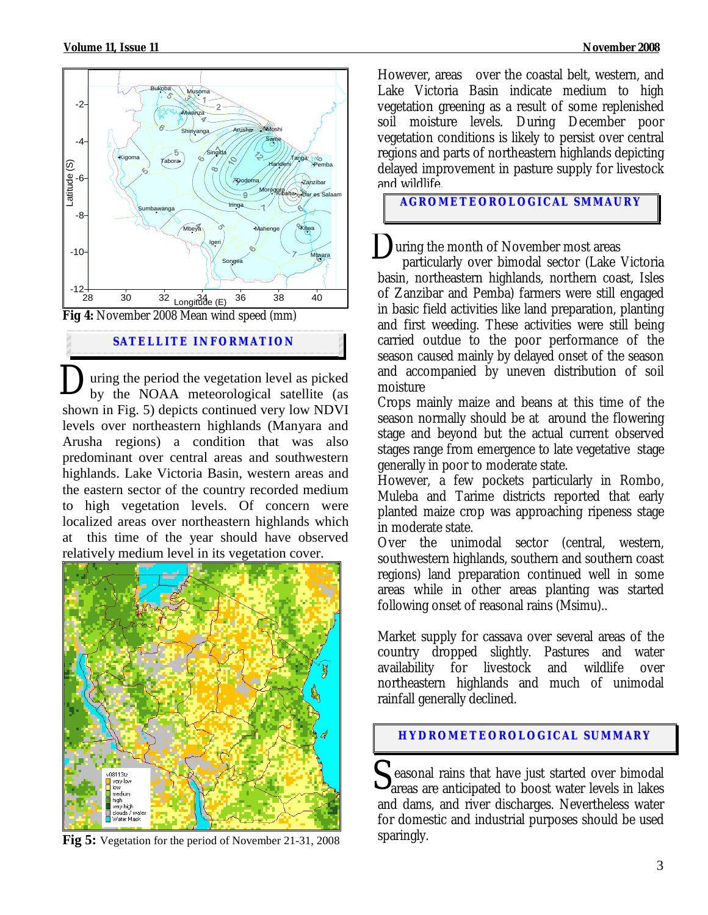

**SATELLITE I NFORMATION**

uring the period the vegetation level as picked by the NOAA meteorological satellite (as shown in Fig. 5) depicts continued very low NDVI levels over northeastern highlands (Manyara and Arusha regions) a condition that was also predominant over central areas and southwestern highlands. Lake Victoria Basin, western areas and the eastern sector of the country recorded medium to high vegetation levels. Of concern were localized areas over northeastern highlands which at this time of the year should have observed relatively medium level in its vegetation cover.  $\mathbf{D}_{\text{by}}^{\text{un}}$ 



**Fig 5:** Vegetation for the period of November 21-31, 2008

However, areas over the coastal belt, western, and Lake Victoria Basin indicate medium to high vegetation greening as a result of some replenished soil moisture levels. During December poor vegetation conditions is likely to persist over central regions and parts of northeastern highlands depicting delayed improvement in pasture supply for livestock and wildlife.

**AGROMETEOROLOGICAL SMMAURY**

uring the month of November most areas

 particularly over bimodal sector (Lake Victoria basin, northeastern highlands, northern coast, Isles of Zanzibar and Pemba) farmers were still engaged in basic field activities like land preparation, planting and first weeding. These activities were still being carried outdue to the poor performance of the season caused mainly by delayed onset of the season and accompanied by uneven distribution of soil moisture D

Crops mainly maize and beans at this time of the season normally should be at around the flowering stage and beyond but the actual current observed stages range from emergence to late vegetative stage generally in poor to moderate state.

However, a few pockets particularly in Rombo, Muleba and Tarime districts reported that early planted maize crop was approaching ripeness stage in moderate state.

Over the unimodal sector (central, western, southwestern highlands, southern and southern coast regions) land preparation continued well in some areas while in other areas planting was started following onset of reasonal rains (Msimu)..

Market supply for cassava over several areas of the country dropped slightly. Pastures and water availability for livestock and wildlife over northeastern highlands and much of unimodal rainfall generally declined.

#### **HYDROMETEOROLOGICAL SUMMARY**

Seasonal rains that have just started over bimodal areas are anticipated to boost water levels in lakes areas are anticipated to boost water levels in lakes and dams, and river discharges. Nevertheless water for domestic and industrial purposes should be used sparingly.